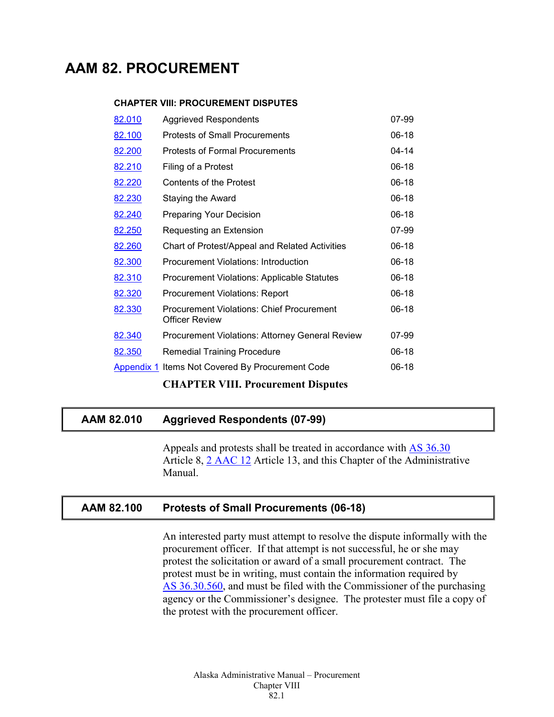# **AAM 82. PROCUREMENT**

#### **CHAPTER VIII: PROCUREMENT DISPUTES**

| 82.010 | <b>Aggrieved Respondents</b>                                       | 07-99   |
|--------|--------------------------------------------------------------------|---------|
| 82.100 | <b>Protests of Small Procurements</b>                              | $06-18$ |
| 82.200 | Protests of Formal Procurements                                    | 04-14   |
| 82.210 | Filing of a Protest                                                | $06-18$ |
| 82.220 | <b>Contents of the Protest</b>                                     | 06-18   |
| 82.230 | <b>Staying the Award</b>                                           | $06-18$ |
| 82.240 | <b>Preparing Your Decision</b>                                     | 06-18   |
| 82.250 | Requesting an Extension                                            | 07-99   |
| 82.260 | Chart of Protest/Appeal and Related Activities                     | $06-18$ |
| 82.300 | Procurement Violations: Introduction                               | $06-18$ |
| 82.310 | <b>Procurement Violations: Applicable Statutes</b>                 | $06-18$ |
| 82.320 | <b>Procurement Violations: Report</b>                              | $06-18$ |
| 82.330 | <b>Procurement Violations: Chief Procurement</b><br>Officer Review | $06-18$ |
| 82.340 | <b>Procurement Violations: Attorney General Review</b>             | 07-99   |
| 82.350 | <b>Remedial Training Procedure</b>                                 | $06-18$ |
|        | <b>Appendix 1 Items Not Covered By Procurement Code</b>            | 06-18   |
|        | <b>CHAPTER VIII. Procurement Disputes</b>                          |         |

# <span id="page-0-0"></span>**AAM 82.010 Aggrieved Respondents (07-99)**

Appeals and protests shall be treated in accordance with AS [36.30](http://www.legis.state.ak.us/basis/statutes.asp#36.30) Article 8, 2 [AAC](http://www.legis.state.ak.us/basis/aac.asp#2.12) 12 Article 13, and this Chapter of the Administrative Manual.

## <span id="page-0-1"></span>**AAM 82.100 Protests of Small Procurements (06-18)**

An interested party must attempt to resolve the dispute informally with the procurement officer. If that attempt is not successful, he or she may protest the solicitation or award of a small procurement contract. The protest must be in writing, must contain the information required by AS [36.30.560,](http://www.legis.state.ak.us/basis/statutes.asp#36.30.560) and must be filed with the Commissioner of the purchasing agency or the Commissioner's designee. The protester must file a copy of the protest with the procurement officer.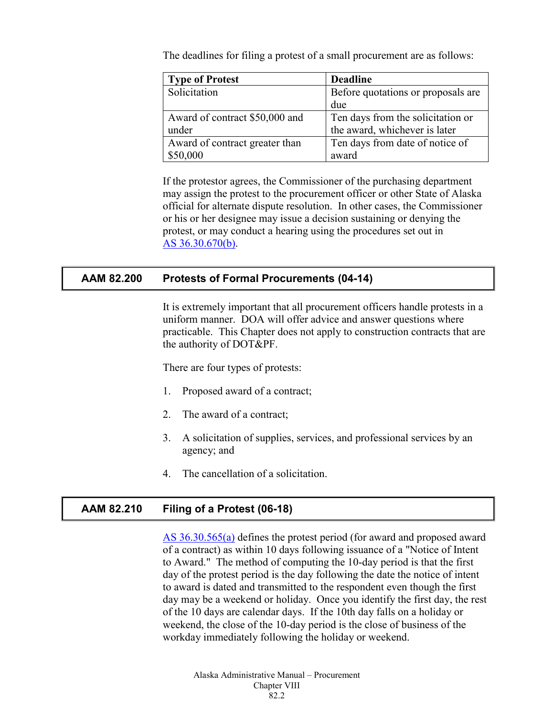The deadlines for filing a protest of a small procurement are as follows:

| <b>Type of Protest</b>         | <b>Deadline</b>                    |
|--------------------------------|------------------------------------|
| Solicitation                   | Before quotations or proposals are |
|                                | due                                |
| Award of contract \$50,000 and | Ten days from the solicitation or  |
| under                          | the award, whichever is later      |
| Award of contract greater than | Ten days from date of notice of    |
| \$50,000                       | award                              |

If the protestor agrees, the Commissioner of the purchasing department may assign the protest to the procurement officer or other State of Alaska official for alternate dispute resolution. In other cases, the Commissioner or his or her designee may issue a decision sustaining or denying the protest, or may conduct a hearing using the procedures set out in AS [36.30.670\(b\).](http://www.legis.state.ak.us/basis/statutes.asp#36.30.670)

#### <span id="page-1-0"></span>**AAM 82.200 Protests of Formal Procurements (04-14)**

It is extremely important that all procurement officers handle protests in a uniform manner. DOA will offer advice and answer questions where practicable. This Chapter does not apply to construction contracts that are the authority of DOT&PF.

There are four types of protests:

- 1. Proposed award of a contract;
- 2. The award of a contract;
- 3. A solicitation of supplies, services, and professional services by an agency; and
- 4. The cancellation of a solicitation.

## <span id="page-1-1"></span>**AAM 82.210 Filing of a Protest (06-18)**

AS [36.30.565\(a\)](http://www.legis.state.ak.us/basis/statutes.asp#36.30.565) defines the protest period (for award and proposed award of a contract) as within 10 days following issuance of a "Notice of Intent to Award." The method of computing the 10-day period is that the first day of the protest period is the day following the date the notice of intent to award is dated and transmitted to the respondent even though the first day may be a weekend or holiday. Once you identify the first day, the rest of the 10 days are calendar days. If the 10th day falls on a holiday or weekend, the close of the 10-day period is the close of business of the workday immediately following the holiday or weekend.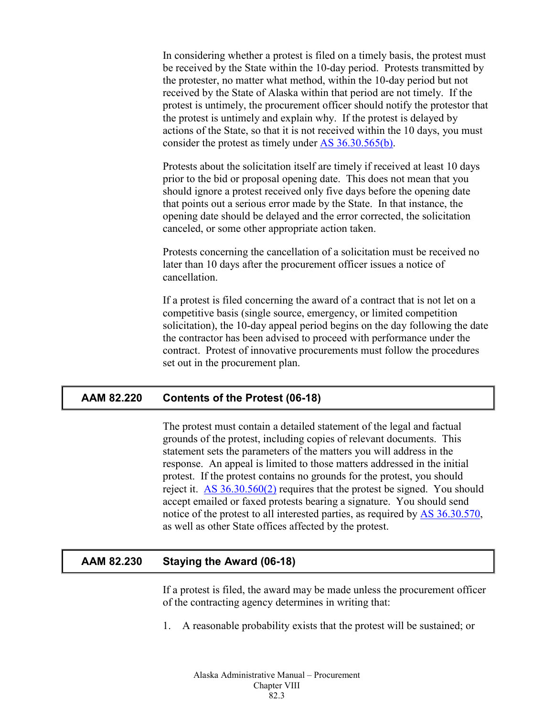In considering whether a protest is filed on a timely basis, the protest must be received by the State within the 10-day period. Protests transmitted by the protester, no matter what method, within the 10-day period but not received by the State of Alaska within that period are not timely. If the protest is untimely, the procurement officer should notify the protestor that the protest is untimely and explain why. If the protest is delayed by actions of the State, so that it is not received within the 10 days, you must consider the protest as timely under AS [36.30.565\(b\).](http://www.legis.state.ak.us/basis/statutes.asp#36.30.565)

Protests about the solicitation itself are timely if received at least 10 days prior to the bid or proposal opening date. This does not mean that you should ignore a protest received only five days before the opening date that points out a serious error made by the State. In that instance, the opening date should be delayed and the error corrected, the solicitation canceled, or some other appropriate action taken.

Protests concerning the cancellation of a solicitation must be received no later than 10 days after the procurement officer issues a notice of cancellation.

If a protest is filed concerning the award of a contract that is not let on a competitive basis (single source, emergency, or limited competition solicitation), the 10-day appeal period begins on the day following the date the contractor has been advised to proceed with performance under the contract. Protest of innovative procurements must follow the procedures set out in the procurement plan.

## <span id="page-2-0"></span>**AAM 82.220 Contents of the Protest (06-18)**

The protest must contain a detailed statement of the legal and factual grounds of the protest, including copies of relevant documents. This statement sets the parameters of the matters you will address in the response. An appeal is limited to those matters addressed in the initial protest. If the protest contains no grounds for the protest, you should reject it. AS [36.30.560\(2\)](http://www.legis.state.ak.us/basis/statutes.asp#36.30.560) requires that the protest be signed. You should accept emailed or faxed protests bearing a signature. You should send notice of the protest to all interested parties, as required by AS [36.30.570,](http://www.legis.state.ak.us/basis/statutes.asp#36.30.570) as well as other State offices affected by the protest.

# <span id="page-2-1"></span>**AAM 82.230 Staying the Award (06-18)**

If a protest is filed, the award may be made unless the procurement officer of the contracting agency determines in writing that:

1. A reasonable probability exists that the protest will be sustained; or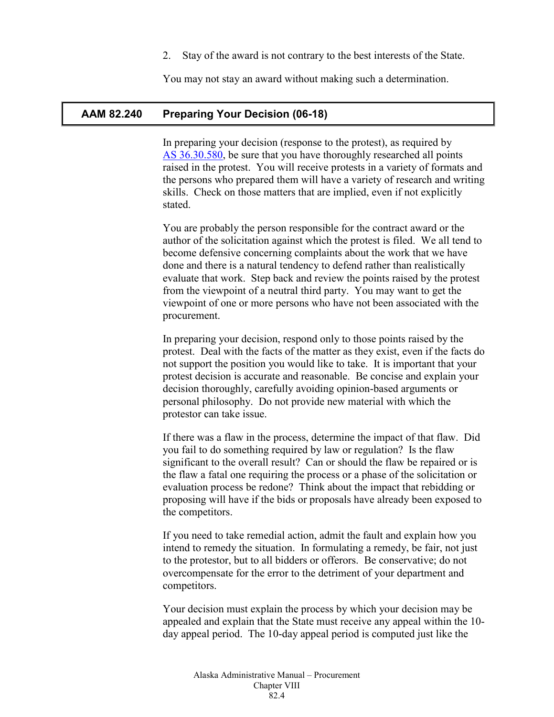2. Stay of the award is not contrary to the best interests of the State.

You may not stay an award without making such a determination.

#### <span id="page-3-0"></span>**AAM 82.240 Preparing Your Decision (06-18)**

In preparing your decision (response to the protest), as required by AS [36.30.580,](http://www.legis.state.ak.us/basis/statutes.asp#36.30.580) be sure that you have thoroughly researched all points raised in the protest. You will receive protests in a variety of formats and the persons who prepared them will have a variety of research and writing skills. Check on those matters that are implied, even if not explicitly stated.

You are probably the person responsible for the contract award or the author of the solicitation against which the protest is filed. We all tend to become defensive concerning complaints about the work that we have done and there is a natural tendency to defend rather than realistically evaluate that work. Step back and review the points raised by the protest from the viewpoint of a neutral third party. You may want to get the viewpoint of one or more persons who have not been associated with the procurement.

In preparing your decision, respond only to those points raised by the protest. Deal with the facts of the matter as they exist, even if the facts do not support the position you would like to take. It is important that your protest decision is accurate and reasonable. Be concise and explain your decision thoroughly, carefully avoiding opinion-based arguments or personal philosophy. Do not provide new material with which the protestor can take issue.

If there was a flaw in the process, determine the impact of that flaw. Did you fail to do something required by law or regulation? Is the flaw significant to the overall result? Can or should the flaw be repaired or is the flaw a fatal one requiring the process or a phase of the solicitation or evaluation process be redone? Think about the impact that rebidding or proposing will have if the bids or proposals have already been exposed to the competitors.

If you need to take remedial action, admit the fault and explain how you intend to remedy the situation. In formulating a remedy, be fair, not just to the protestor, but to all bidders or offerors. Be conservative; do not overcompensate for the error to the detriment of your department and competitors.

Your decision must explain the process by which your decision may be appealed and explain that the State must receive any appeal within the 10 day appeal period. The 10-day appeal period is computed just like the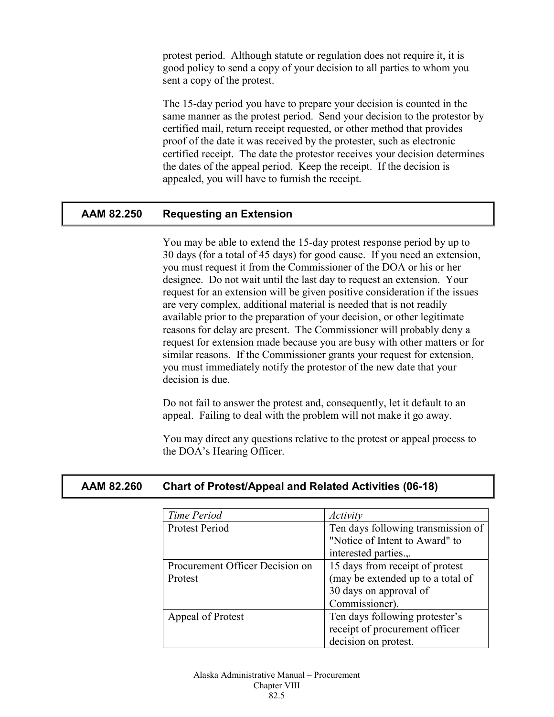protest period. Although statute or regulation does not require it, it is good policy to send a copy of your decision to all parties to whom you sent a copy of the protest.

The 15-day period you have to prepare your decision is counted in the same manner as the protest period. Send your decision to the protestor by certified mail, return receipt requested, or other method that provides proof of the date it was received by the protester, such as electronic certified receipt. The date the protestor receives your decision determines the dates of the appeal period. Keep the receipt. If the decision is appealed, you will have to furnish the receipt.

## <span id="page-4-0"></span>**AAM 82.250 Requesting an Extension**

You may be able to extend the 15-day protest response period by up to 30 days (for a total of 45 days) for good cause. If you need an extension, you must request it from the Commissioner of the DOA or his or her designee. Do not wait until the last day to request an extension. Your request for an extension will be given positive consideration if the issues are very complex, additional material is needed that is not readily available prior to the preparation of your decision, or other legitimate reasons for delay are present. The Commissioner will probably deny a request for extension made because you are busy with other matters or for similar reasons. If the Commissioner grants your request for extension, you must immediately notify the protestor of the new date that your decision is due.

Do not fail to answer the protest and, consequently, let it default to an appeal. Failing to deal with the problem will not make it go away.

You may direct any questions relative to the protest or appeal process to the DOA's Hearing Officer.

#### <span id="page-4-1"></span>**AAM 82.260 Chart of Protest/Appeal and Related Activities (06-18)**

| Time Period                     | Activity                           |
|---------------------------------|------------------------------------|
| Protest Period                  | Ten days following transmission of |
|                                 | "Notice of Intent to Award" to     |
|                                 | interested parties.,.              |
| Procurement Officer Decision on | 15 days from receipt of protest    |
| Protest                         | (may be extended up to a total of  |
|                                 | 30 days on approval of             |
|                                 | Commissioner).                     |
| Appeal of Protest               | Ten days following protester's     |
|                                 | receipt of procurement officer     |
|                                 | decision on protest.               |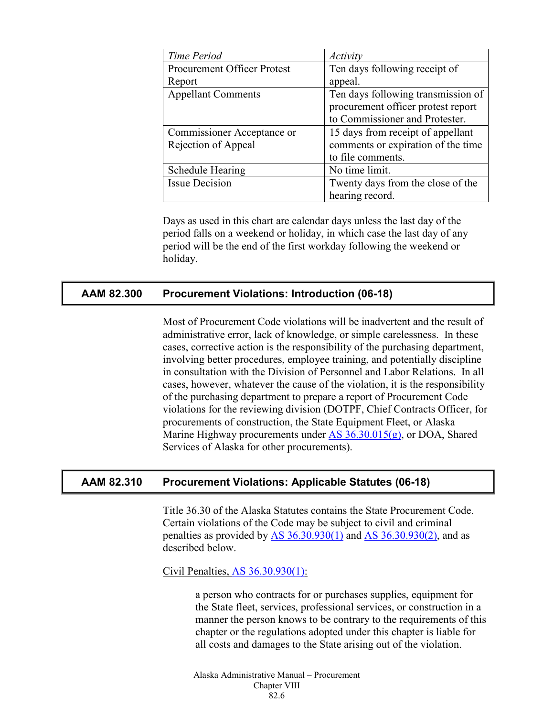| Time Period                        | Activity                           |
|------------------------------------|------------------------------------|
| <b>Procurement Officer Protest</b> | Ten days following receipt of      |
| Report                             | appeal.                            |
| <b>Appellant Comments</b>          | Ten days following transmission of |
|                                    | procurement officer protest report |
|                                    | to Commissioner and Protester.     |
| Commissioner Acceptance or         | 15 days from receipt of appellant  |
| Rejection of Appeal                | comments or expiration of the time |
|                                    | to file comments.                  |
| <b>Schedule Hearing</b>            | No time limit.                     |
| <b>Issue Decision</b>              | Twenty days from the close of the  |
|                                    | hearing record.                    |

Days as used in this chart are calendar days unless the last day of the period falls on a weekend or holiday, in which case the last day of any period will be the end of the first workday following the weekend or holiday.

## <span id="page-5-0"></span>**AAM 82.300 Procurement Violations: Introduction (06-18)**

Most of Procurement Code violations will be inadvertent and the result of administrative error, lack of knowledge, or simple carelessness. In these cases, corrective action is the responsibility of the purchasing department, involving better procedures, employee training, and potentially discipline in consultation with the Division of Personnel and Labor Relations. In all cases, however, whatever the cause of the violation, it is the responsibility of the purchasing department to prepare a report of Procurement Code violations for the reviewing division (DOTPF, Chief Contracts Officer, for procurements of construction, the State Equipment Fleet, or Alaska Marine Highway procurements under AS [36.30.015\(g\),](http://www.legis.state.ak.us/basis/statutes.asp#36.30.015) or DOA, Shared Services of Alaska for other procurements).

## <span id="page-5-1"></span>**AAM 82.310 Procurement Violations: Applicable Statutes (06-18)**

Title 36.30 of the Alaska Statutes contains the State Procurement Code. Certain violations of the Code may be subject to civil and criminal penalties as provided by  $\overline{AS}$  [36.30.930\(1\)](http://www.legis.state.ak.us/basis/statutes.asp#36.30.930) and  $\overline{AS}$  [36.30.930\(2\),](http://www.legis.state.ak.us/basis/statutes.asp#36.30.930) and as described below.

#### Civil Penalties, [AS 36.30.930\(1\):](http://www.legis.state.ak.us/basis/statutes.asp#36.30.930)

a person who contracts for or purchases supplies, equipment for the State fleet, services, professional services, or construction in a manner the person knows to be contrary to the requirements of this chapter or the regulations adopted under this chapter is liable for all costs and damages to the State arising out of the violation.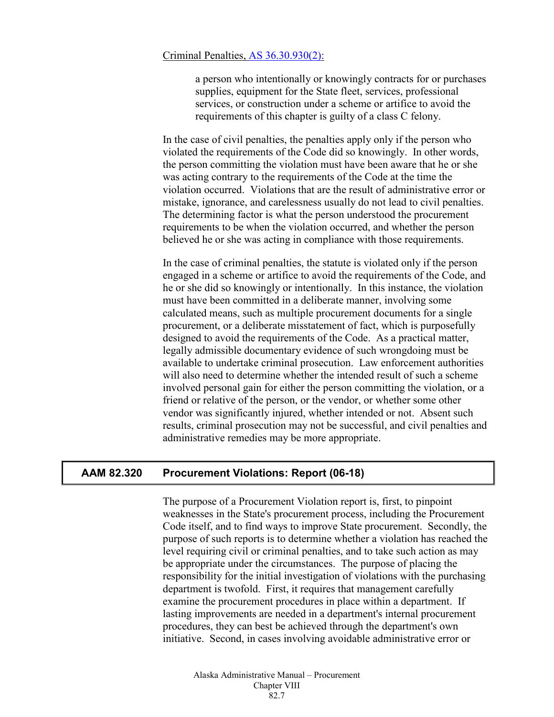#### Criminal Penalties, [AS 36.30.930\(2\):](http://www.legis.state.ak.us/basis/statutes.asp#36.30.930)

a person who intentionally or knowingly contracts for or purchases supplies, equipment for the State fleet, services, professional services, or construction under a scheme or artifice to avoid the requirements of this chapter is guilty of a class C felony.

In the case of civil penalties, the penalties apply only if the person who violated the requirements of the Code did so knowingly. In other words, the person committing the violation must have been aware that he or she was acting contrary to the requirements of the Code at the time the violation occurred. Violations that are the result of administrative error or mistake, ignorance, and carelessness usually do not lead to civil penalties. The determining factor is what the person understood the procurement requirements to be when the violation occurred, and whether the person believed he or she was acting in compliance with those requirements.

In the case of criminal penalties, the statute is violated only if the person engaged in a scheme or artifice to avoid the requirements of the Code, and he or she did so knowingly or intentionally. In this instance, the violation must have been committed in a deliberate manner, involving some calculated means, such as multiple procurement documents for a single procurement, or a deliberate misstatement of fact, which is purposefully designed to avoid the requirements of the Code. As a practical matter, legally admissible documentary evidence of such wrongdoing must be available to undertake criminal prosecution. Law enforcement authorities will also need to determine whether the intended result of such a scheme involved personal gain for either the person committing the violation, or a friend or relative of the person, or the vendor, or whether some other vendor was significantly injured, whether intended or not. Absent such results, criminal prosecution may not be successful, and civil penalties and administrative remedies may be more appropriate.

## <span id="page-6-0"></span>**AAM 82.320 Procurement Violations: Report (06-18)**

The purpose of a Procurement Violation report is, first, to pinpoint weaknesses in the State's procurement process, including the Procurement Code itself, and to find ways to improve State procurement. Secondly, the purpose of such reports is to determine whether a violation has reached the level requiring civil or criminal penalties, and to take such action as may be appropriate under the circumstances. The purpose of placing the responsibility for the initial investigation of violations with the purchasing department is twofold. First, it requires that management carefully examine the procurement procedures in place within a department. If lasting improvements are needed in a department's internal procurement procedures, they can best be achieved through the department's own initiative. Second, in cases involving avoidable administrative error or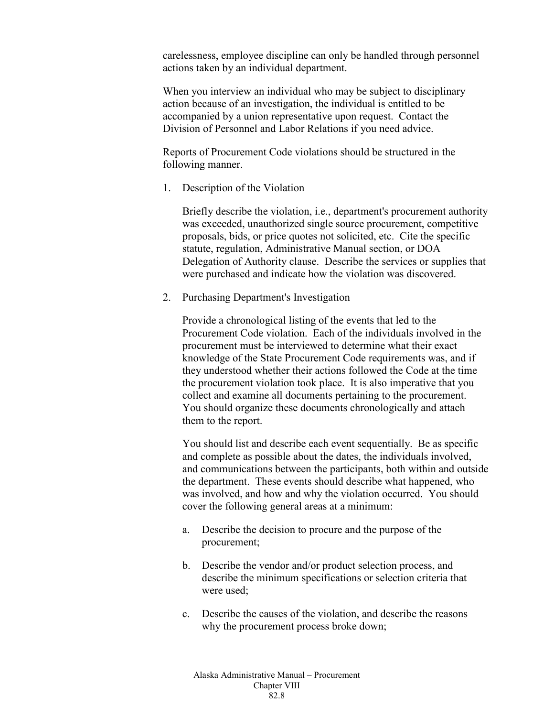carelessness, employee discipline can only be handled through personnel actions taken by an individual department.

When you interview an individual who may be subject to disciplinary action because of an investigation, the individual is entitled to be accompanied by a union representative upon request. Contact the Division of Personnel and Labor Relations if you need advice.

Reports of Procurement Code violations should be structured in the following manner.

1. Description of the Violation

Briefly describe the violation, i.e., department's procurement authority was exceeded, unauthorized single source procurement, competitive proposals, bids, or price quotes not solicited, etc. Cite the specific statute, regulation, Administrative Manual section, or DOA Delegation of Authority clause. Describe the services or supplies that were purchased and indicate how the violation was discovered.

2. Purchasing Department's Investigation

Provide a chronological listing of the events that led to the Procurement Code violation. Each of the individuals involved in the procurement must be interviewed to determine what their exact knowledge of the State Procurement Code requirements was, and if they understood whether their actions followed the Code at the time the procurement violation took place. It is also imperative that you collect and examine all documents pertaining to the procurement. You should organize these documents chronologically and attach them to the report.

You should list and describe each event sequentially. Be as specific and complete as possible about the dates, the individuals involved, and communications between the participants, both within and outside the department. These events should describe what happened, who was involved, and how and why the violation occurred. You should cover the following general areas at a minimum:

- a. Describe the decision to procure and the purpose of the procurement;
- b. Describe the vendor and/or product selection process, and describe the minimum specifications or selection criteria that were used;
- c. Describe the causes of the violation, and describe the reasons why the procurement process broke down;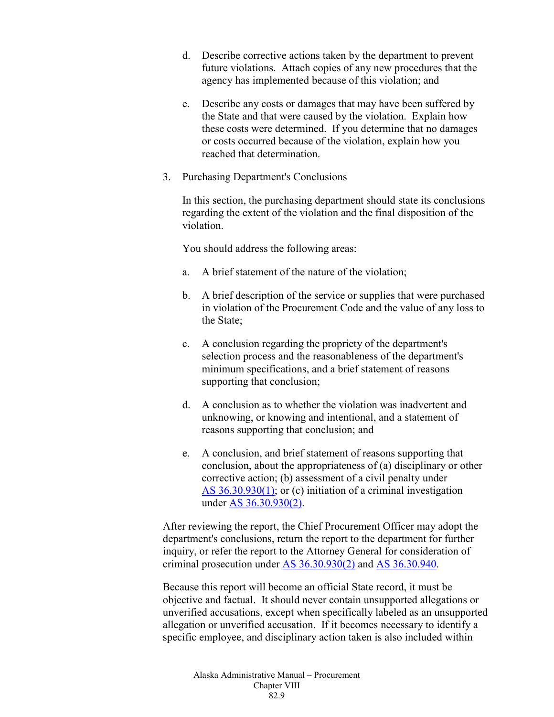- d. Describe corrective actions taken by the department to prevent future violations. Attach copies of any new procedures that the agency has implemented because of this violation; and
- e. Describe any costs or damages that may have been suffered by the State and that were caused by the violation. Explain how these costs were determined. If you determine that no damages or costs occurred because of the violation, explain how you reached that determination.
- 3. Purchasing Department's Conclusions

In this section, the purchasing department should state its conclusions regarding the extent of the violation and the final disposition of the violation.

You should address the following areas:

- a. A brief statement of the nature of the violation;
- b. A brief description of the service or supplies that were purchased in violation of the Procurement Code and the value of any loss to the State;
- c. A conclusion regarding the propriety of the department's selection process and the reasonableness of the department's minimum specifications, and a brief statement of reasons supporting that conclusion;
- d. A conclusion as to whether the violation was inadvertent and unknowing, or knowing and intentional, and a statement of reasons supporting that conclusion; and
- e. A conclusion, and brief statement of reasons supporting that conclusion, about the appropriateness of (a) disciplinary or other corrective action; (b) assessment of a civil penalty under AS [36.30.930\(1\);](http://www.legis.state.ak.us/basis/statutes.asp#36.30.930) or (c) initiation of a criminal investigation under AS [36.30.930\(2\).](http://www.legis.state.ak.us/basis/statutes.asp#36.30.930)

After reviewing the report, the Chief Procurement Officer may adopt the department's conclusions, return the report to the department for further inquiry, or refer the report to the Attorney General for consideration of criminal prosecution under AS [36.30.930\(2\)](http://www.legis.state.ak.us/basis/statutes.asp#36.30.930) and AS [36.30.940.](http://www.legis.state.ak.us/basis/statutes.asp#36.30.940)

Because this report will become an official State record, it must be objective and factual. It should never contain unsupported allegations or unverified accusations, except when specifically labeled as an unsupported allegation or unverified accusation. If it becomes necessary to identify a specific employee, and disciplinary action taken is also included within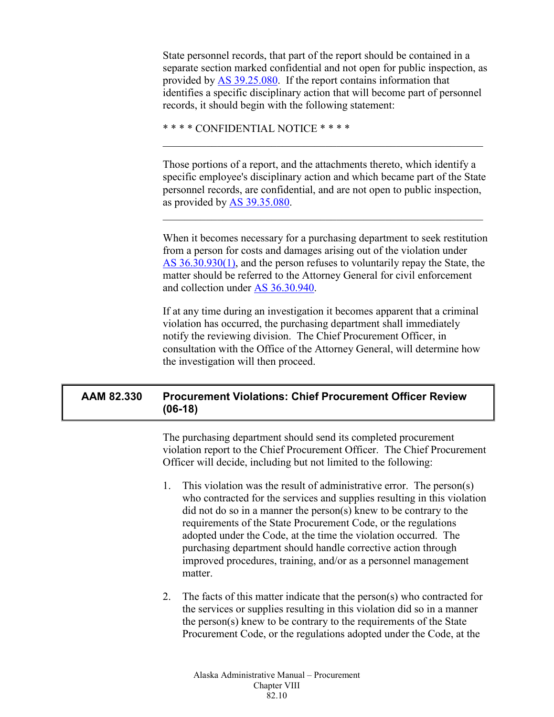State personnel records, that part of the report should be contained in a separate section marked confidential and not open for public inspection, as provided by AS [39.25.080.](http://www.legis.state.ak.us/basis/statutes.asp#39.25.080) If the report contains information that identifies a specific disciplinary action that will become part of personnel records, it should begin with the following statement:

\* \* \* \* CONFIDENTIAL NOTICE \* \* \* \*

Those portions of a report, and the attachments thereto, which identify a specific employee's disciplinary action and which became part of the State personnel records, are confidential, and are not open to public inspection, as provided by AS [39.35.080.](http://www.legis.state.ak.us/basis/statutes.asp#39.35.080)

 $\mathcal{L}_\text{max} = \mathcal{L}_\text{max} = \mathcal{L}_\text{max} = \mathcal{L}_\text{max} = \mathcal{L}_\text{max} = \mathcal{L}_\text{max} = \mathcal{L}_\text{max} = \mathcal{L}_\text{max} = \mathcal{L}_\text{max} = \mathcal{L}_\text{max} = \mathcal{L}_\text{max} = \mathcal{L}_\text{max} = \mathcal{L}_\text{max} = \mathcal{L}_\text{max} = \mathcal{L}_\text{max} = \mathcal{L}_\text{max} = \mathcal{L}_\text{max} = \mathcal{L}_\text{max} = \mathcal{$ 

 $\mathcal{L}_\text{max} = \mathcal{L}_\text{max} = \mathcal{L}_\text{max} = \mathcal{L}_\text{max} = \mathcal{L}_\text{max} = \mathcal{L}_\text{max} = \mathcal{L}_\text{max} = \mathcal{L}_\text{max} = \mathcal{L}_\text{max} = \mathcal{L}_\text{max} = \mathcal{L}_\text{max} = \mathcal{L}_\text{max} = \mathcal{L}_\text{max} = \mathcal{L}_\text{max} = \mathcal{L}_\text{max} = \mathcal{L}_\text{max} = \mathcal{L}_\text{max} = \mathcal{L}_\text{max} = \mathcal{$ 

When it becomes necessary for a purchasing department to seek restitution from a person for costs and damages arising out of the violation under AS [36.30.930\(1\),](http://www.legis.state.ak.us/basis/statutes.asp#36.30.930) and the person refuses to voluntarily repay the State, the matter should be referred to the Attorney General for civil enforcement and collection under AS [36.30.940.](http://www.legis.state.ak.us/basis/statutes.asp#36.30.940)

If at any time during an investigation it becomes apparent that a criminal violation has occurred, the purchasing department shall immediately notify the reviewing division. The Chief Procurement Officer, in consultation with the Office of the Attorney General, will determine how the investigation will then proceed.

# <span id="page-9-0"></span>**AAM 82.330 Procurement Violations: Chief Procurement Officer Review (06-18)**

The purchasing department should send its completed procurement violation report to the Chief Procurement Officer. The Chief Procurement Officer will decide, including but not limited to the following:

- 1. This violation was the result of administrative error. The person(s) who contracted for the services and supplies resulting in this violation did not do so in a manner the person(s) knew to be contrary to the requirements of the State Procurement Code, or the regulations adopted under the Code, at the time the violation occurred. The purchasing department should handle corrective action through improved procedures, training, and/or as a personnel management matter.
- 2. The facts of this matter indicate that the person(s) who contracted for the services or supplies resulting in this violation did so in a manner the person(s) knew to be contrary to the requirements of the State Procurement Code, or the regulations adopted under the Code, at the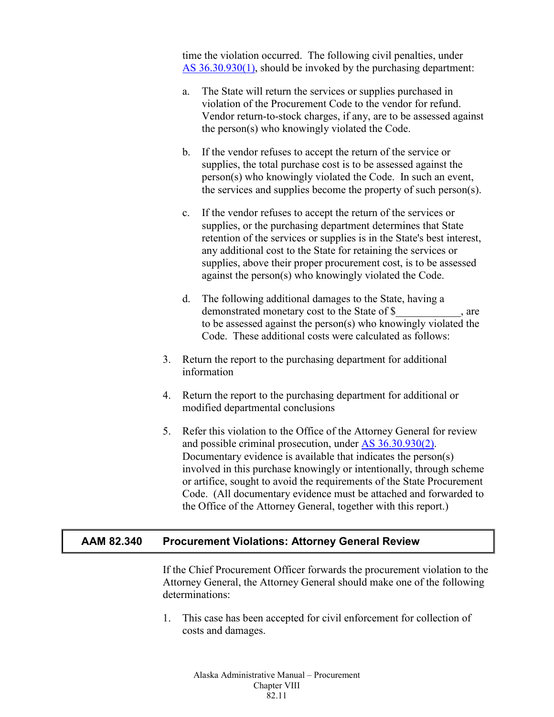time the violation occurred. The following civil penalties, under AS [36.30.930\(1\),](http://www.legis.state.ak.us/basis/statutes.asp#36.30.930) should be invoked by the purchasing department:

- a. The State will return the services or supplies purchased in violation of the Procurement Code to the vendor for refund. Vendor return-to-stock charges, if any, are to be assessed against the person(s) who knowingly violated the Code.
- b. If the vendor refuses to accept the return of the service or supplies, the total purchase cost is to be assessed against the person(s) who knowingly violated the Code. In such an event, the services and supplies become the property of such person(s).
- c. If the vendor refuses to accept the return of the services or supplies, or the purchasing department determines that State retention of the services or supplies is in the State's best interest, any additional cost to the State for retaining the services or supplies, above their proper procurement cost, is to be assessed against the person(s) who knowingly violated the Code.
- d. The following additional damages to the State, having a demonstrated monetary cost to the State of \$ \_\_\_\_\_\_\_\_, are to be assessed against the person(s) who knowingly violated the Code. These additional costs were calculated as follows:
- 3. Return the report to the purchasing department for additional information
- 4. Return the report to the purchasing department for additional or modified departmental conclusions
- 5. Refer this violation to the Office of the Attorney General for review and possible criminal prosecution, under AS [36.30.930\(2\).](http://www.legis.state.ak.us/basis/statutes.asp#36.30.930) Documentary evidence is available that indicates the person(s) involved in this purchase knowingly or intentionally, through scheme or artifice, sought to avoid the requirements of the State Procurement Code. (All documentary evidence must be attached and forwarded to the Office of the Attorney General, together with this report.)

## <span id="page-10-0"></span>**AAM 82.340 Procurement Violations: Attorney General Review**

If the Chief Procurement Officer forwards the procurement violation to the Attorney General, the Attorney General should make one of the following determinations:

1. This case has been accepted for civil enforcement for collection of costs and damages.